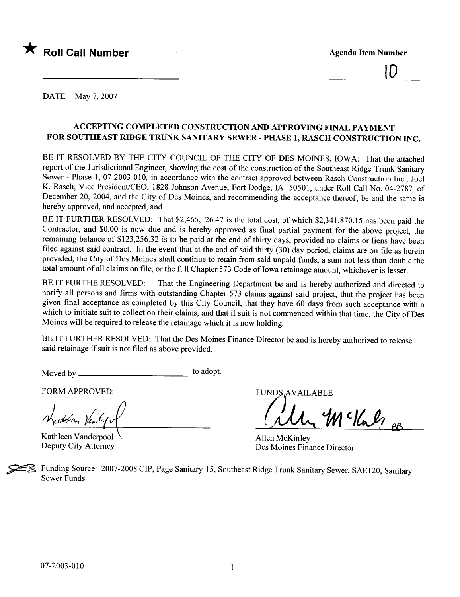



DATE May 7, 2007

# ACCEPTING COMPLETED CONSTRUCTION AND APPROVING FINAL PAYMENT FOR SOUTHEAST RIDGE TRUNK SANITARY SEWER - PHASE 1, RASCH CONSTRUCTION INC.

BE IT RESOLVED BY THE CITY COUNCIL OF THE CITY OF DES MOINES, IOWA: That the attached report of the Jurisdictional Engineer, showing the cost of the construction of the Southeast Ridge Trunk Sanitary Sewer - Phase 1, 07-2003-010, in accordance with the contract approved between Rasch Construction Inc., Joel K. Rasch, Vice President/CEO, 1828 Johnson Avenue, Fort Dodge, IA 50501, under Roll Call No. 04-2787, of December 20, 2004, and the City of Des Moines, and recommending the acceptance thereof, be and the same is hereby approved, and accepted, and

BE IT FURTHER RESOLVED: That \$2,465,126.47 is the total cost, of which \$2,341,870.15 has been paid the Contractor, and \$0.00 is now due and is hereby approved as final partial payment for the above project, the remaining balance of \$123,256.32 is to be paid at the end of thirty days, provided no claims or liens have been filed against said contract. In the event that at the end of said thirty  $(30)$  day period, claims are on file as herein provided, the City of Des Moines shall continue to retain from said unpaid funds, a sum not less than double the total amount of all claims on file, or the full Chapter 573 Code of Iowa retainage amount, whichever is lesser.

BE IT FURTHE RESOLVED: That the Engineering Department be and is hereby authorized and directed to notify all persons and firms with outstanding Chapter 573 claims against said project, that the project has been given final acceptance as completed by this City Council, that they have 60 days from such acceptance within which to initiate suit to collect on their claims, and that if suit is not commenced within that time, the City of Des Moines will be required to release the retainage which it is now holding.

BE IT FURTHER RESOLVED: That the Des Moines Finance Director be and is hereby authorized to release said retainage if suit is not fied as above provided.

Moved by to adopt.

FORM APPROVED:

Mectolin Vendy

Kathleen Vanderpool Deputy City Attorney

**FUNDS.AVAILABLE** 

 $M$  c/lab $_{{}^{\prime\prime}}$  as

Allen McKinley Des Moines Finance Director

Funding Source: 2007-2008 CIP, Page Sanitary-15, Southeast Ridge Trunk Sanitary Sewer, SAE120, Sanitary Sewer Funds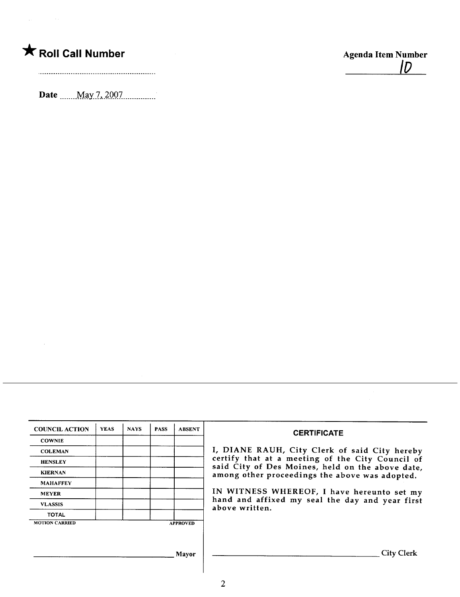# \* Roll Call Number Agenda Item Number

 $\hat{f}_{\rm{max}}$  and  $\hat{f}_{\rm{max}}$  and  $\hat{f}_{\rm{max}}$ 

 $\sim 10^{-1}$ 

/0

Date \_\_\_\_\_\_ May 7, 2007\_\_\_\_\_\_\_\_\_\_.

| <b>COUNCIL ACTION</b> | <b>YEAS</b> | <b>NAYS</b> | <b>PASS</b> | <b>ABSENT</b>   | <b>CERTIFICATE</b>                                                                                 |  |
|-----------------------|-------------|-------------|-------------|-----------------|----------------------------------------------------------------------------------------------------|--|
| <b>COWNIE</b>         |             |             |             |                 |                                                                                                    |  |
| <b>COLEMAN</b>        |             |             |             |                 | I, DIANE RAUH, City Clerk of said City hereby                                                      |  |
| <b>HENSLEY</b>        |             |             |             |                 | certify that at a meeting of the City Council of                                                   |  |
| <b>KIERNAN</b>        |             |             |             |                 | said City of Des Moines, held on the above date,<br>among other proceedings the above was adopted. |  |
| <b>MAHAFFEY</b>       |             |             |             |                 |                                                                                                    |  |
| <b>MEYER</b>          |             |             |             |                 | IN WITNESS WHEREOF, I have hereunto set my                                                         |  |
| <b>VLASSIS</b>        |             |             |             |                 | hand and affixed my seal the day and year first<br>above written.                                  |  |
| <b>TOTAL</b>          |             |             |             |                 |                                                                                                    |  |
| <b>MOTION CARRIED</b> |             |             |             | <b>APPROVED</b> |                                                                                                    |  |
|                       |             |             |             |                 |                                                                                                    |  |
|                       |             |             |             |                 |                                                                                                    |  |
|                       |             |             |             | Mayor           | <b>City Clerk</b>                                                                                  |  |
|                       |             |             |             |                 |                                                                                                    |  |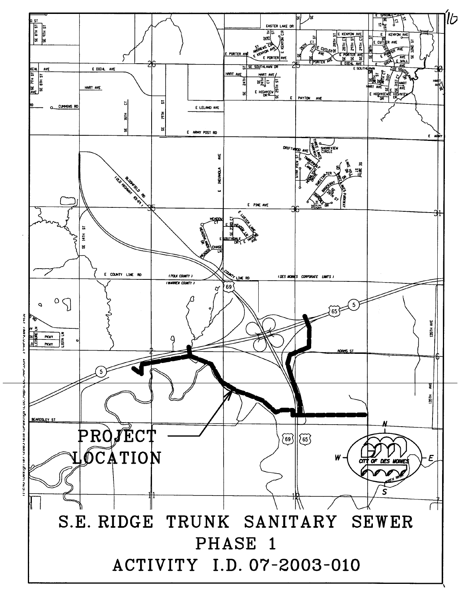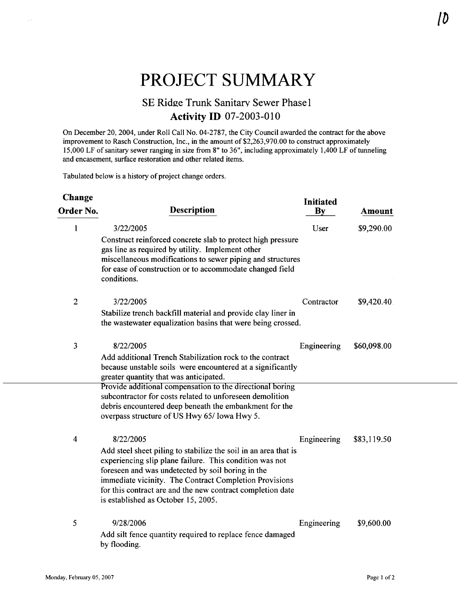# PROJECT SUMMARY

# SE Ridge Trunk Sanitary Sewer Phase 1 **Activity ID 07-2003-010**

On December 20,2004, under Roll Call No. 04-2787, the City Council awarded the contract for the above improvement to Rasch Construction, Inc., in the amount of  $$2,263,970.00$  to construct approximately 15,000 LF of sanitary sewer ranging in size from 8" to 36", including approximately 1,400 LF of tunneling and encasement, surface restoration and other related items.

Tabulated below is a history of project change orders.

| <b>Change</b>  |                                                                                                                                                                                                                                                                                                                                                | <b>Initiated</b>       |             |
|----------------|------------------------------------------------------------------------------------------------------------------------------------------------------------------------------------------------------------------------------------------------------------------------------------------------------------------------------------------------|------------------------|-------------|
| Order No.      | <b>Description</b>                                                                                                                                                                                                                                                                                                                             | $\mathbf{B}\mathbf{y}$ | Amount      |
| 1              | 3/22/2005                                                                                                                                                                                                                                                                                                                                      | User                   | \$9,290.00  |
|                | Construct reinforced concrete slab to protect high pressure<br>gas line as required by utility. Implement other<br>miscellaneous modifications to sewer piping and structures<br>for ease of construction or to accommodate changed field<br>conditions.                                                                                       |                        |             |
| $\overline{2}$ | 3/22/2005                                                                                                                                                                                                                                                                                                                                      | Contractor             | \$9,420.40. |
|                | Stabilize trench backfill material and provide clay liner in<br>the wastewater equalization basins that were being crossed.                                                                                                                                                                                                                    |                        |             |
| 3              | 8/22/2005                                                                                                                                                                                                                                                                                                                                      | Engineering            | \$60,098.00 |
|                | Add additional Trench Stabilization rock to the contract<br>because unstable soils were encountered at a significantly<br>greater quantity that was anticipated.                                                                                                                                                                               |                        |             |
|                | Provide additional compensation to the directional boring<br>subcontractor for costs related to unforeseen demolition<br>debris encountered deep beneath the embankment for the<br>overpass structure of US Hwy 65/ Iowa Hwy 5.                                                                                                                |                        |             |
| $\overline{4}$ | 8/22/2005                                                                                                                                                                                                                                                                                                                                      | Engineering            | \$83,119.50 |
|                | Add steel sheet piling to stabilize the soil in an area that is<br>experiencing slip plane failure. This condition was not<br>foreseen and was undetected by soil boring in the<br>immediate vicinity. The Contract Completion Provisions<br>for this contract are and the new contract completion date<br>is established as October 15, 2005. |                        |             |
| 5              | 9/28/2006                                                                                                                                                                                                                                                                                                                                      | Engineering            | \$9,600.00  |
|                | Add silt fence quantity required to replace fence damaged<br>by flooding.                                                                                                                                                                                                                                                                      |                        |             |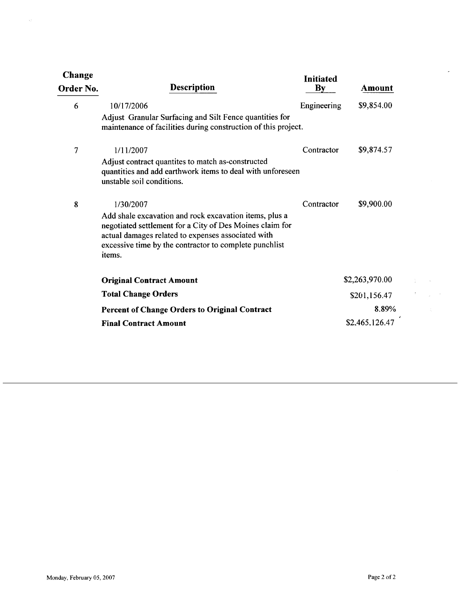| Change<br>Order No. | <b>Description</b>                                                                                                                                                                                                                                        | Initiated<br>$\mathbf{By}$ | Amount                  |
|---------------------|-----------------------------------------------------------------------------------------------------------------------------------------------------------------------------------------------------------------------------------------------------------|----------------------------|-------------------------|
| 6                   | 10/17/2006<br>Adjust Granular Surfacing and Silt Fence quantities for<br>maintenance of facilities during construction of this project.                                                                                                                   | Engineering                | \$9,854.00              |
| $\overline{7}$      | 1/11/2007<br>Adjust contract quantites to match as-constructed<br>quantities and add earthwork items to deal with unforeseen<br>unstable soil conditions.                                                                                                 | Contractor                 | \$9,874.57              |
| 8                   | 1/30/2007<br>Add shale excavation and rock excavation items, plus a<br>negotiated settlement for a City of Des Moines claim for<br>actual damages related to expenses associated with<br>excessive time by the contractor to complete punchlist<br>items. | Contractor                 | \$9,900.00              |
|                     | <b>Original Contract Amount</b>                                                                                                                                                                                                                           |                            | \$2,263,970.00          |
|                     | <b>Total Change Orders</b>                                                                                                                                                                                                                                |                            | \$201,156.47            |
|                     | <b>Percent of Change Orders to Original Contract</b><br><b>Final Contract Amount</b>                                                                                                                                                                      |                            | 8.89%<br>\$2,465,126.47 |

 $\bar{\psi}$ 

 $\bar{\mathcal{L}}$ 

 $\sim 10^{-10}$  km  $\sigma_{\rm{max}}$ 

 $\bar{\phantom{a}}$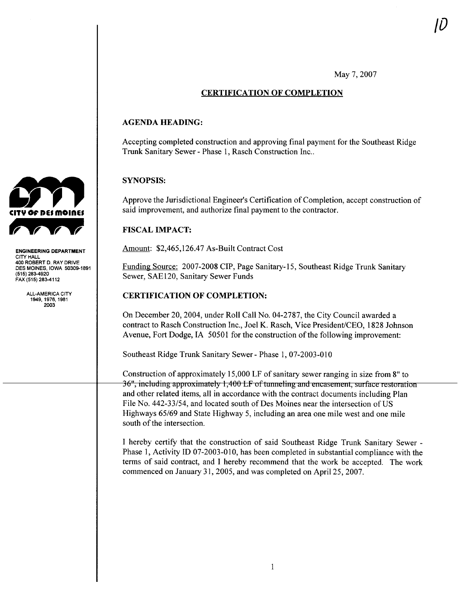May 7, 2007

# CERTIFICATION OF COMPLETION

## AGENDA HEADING:

Accepting completed construction and approving final payment for the Southeast Ridge Trunk Sanitary Sewer - Phase 1, Rasch Construction Inc..

# SYNOPSIS:

Approve the Jurisdictional Engineer's Certification of Completion, accept construction of said improvement, and authorize final payment to the contractor.

# FISCAL IMPACT:

Amount: \$2,465,126.47 As-Built Contract Cost

Funding Source: 2007-2008 CIP, Page Sanitary-15, Southeast Ridge Trunk Sanitary Sewer, SAEI20, Sanitary Sewer Funds

## CERTIFICATION OF COMPLETION:

On December 20,2004, under Roll Call No. 04-2787, the City Council awarded a contract to Rasch Construction Inc., Joel K. Rasch, Vice President/CEO, 1828 Johnson Avenue, Fort Dodge, IA 50501 for the construction of the following improvement:

Southeast Ridge Trunk Sanitary Sewer- Phase i, 07-2003-010

Construction of approximately 15,000 LF of sanitary sewer ranging in size from 8" to and other related items, all in accordance with the contract documents including Plan heast Ridge Trunk Sanitary Sewer - Phatruction of approximately 15,000 LF of the related items all in accordance with File No. 442-33/54, and located south of Des Moines near the intersection of US Highways 65/69 and State Highway 5, including an area one mile west and one mile south of the intersection.

I hereby certify that the construction of said Southeast Ridge Trunk Sanitary Sewer - Phase 1, Activity ID 07-2003-010, has been completed in substantial compliance with the terms of said contract, and I hereby recommend that the work be accepted. The work commenced on January 31,2005, and was completed on April 25, 2007.



ENGINEERING DEPARTMENT CITY HALL 400 ROBERT D. RAY DRIVE DES MOINES. IOWA 50309-1891 (515) 283-920 FAX (515) 283-112

> ALL-AMERICA CITY 1949, 1976, 1981 2003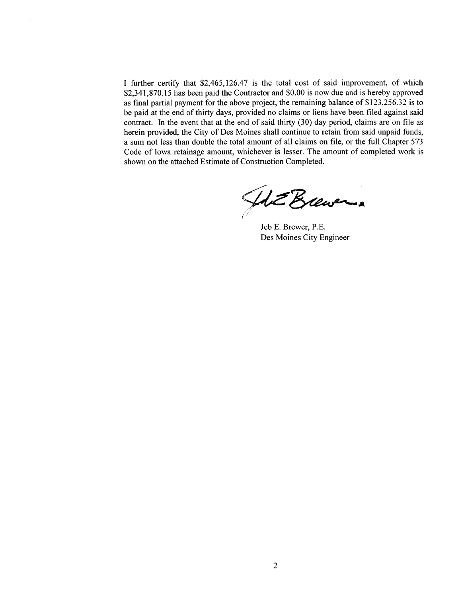I further certify that \$2,465,126.47 is the total cost of said improvement, of which \$2,341,870.15 has been paid the Contractor and \$0.00 is now due and is hereby approved as final partial payment for the above project, the remaining balance of \$123,256.32 is to be paid at the end of thirty days, provided no claims or liens have been filed against said contract. In the event that at the end of said thirty  $(30)$  day period, claims are on file as herein provided, the City of Des Moines shall continue to retain from said unpaid funds, a sum not less than double the total amount of all claims on fie, or the full Chapter 573 Code of Iowa retainage amount, whichever is lesser. The amount of completed work is shown on the attached Estimate of Construction Completed.

HDE Brewer (/

Jeb E. Brewer, P.E. Des Moines City Engineer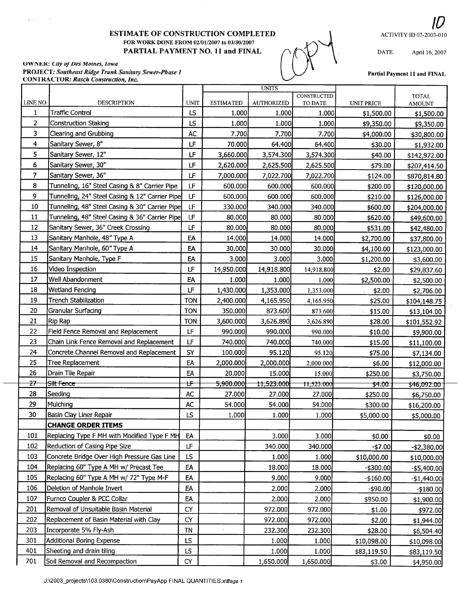#### ESTIMATE OF CONSTRUCTION COMPLETED FOR WORK DONE FROM 02/0l/2007 to 03/30/2007 PARTIAL PAYMENT NO. 11 and FINAL

# 10 ACTIVITY ID 07-2003-010

DATE: April 16, 2007

#### UWNER: City of Des Moines, Iowa PROJECT: Southeast Ridge Trunk Sanitary Sewer-Phase 1 CONTRACTOR: Rasch Construction, lnc.

 $\frac{1}{2}$  ,  $\frac{1}{2}$  ,  $\frac{1}{2}$ 



Partial Payment 11 and FINAL

| <b>CONSTRUCTED</b><br>LINE NO.<br>DESCRIPTION<br><b>UNIT</b><br><b>ESTIMATED</b><br><b>AUTHORIZED</b><br>TO DATE<br>UNIT PRICE<br><b>Traffic Control</b><br>LS<br>1.000<br>1.000<br>1<br>1.000<br>\$1,500.00<br>$\overline{2}$<br>Construction Staking<br>LS<br>1.000<br>1.000<br>1.000<br>\$9,350.00<br>3<br>Clearing and Grubbing<br>AC<br>7.700<br>7.700<br>7.700<br>\$4,000.00<br>LF<br>4<br>Sanitary Sewer, 8"<br>70.000<br>64.400<br>64.400<br>\$30.00<br>5.<br>Sanitary Sewer, 12"<br>LF<br>3,660.000<br>3,574.300<br>3,574.300<br>\$40.00 | <b>TOTAL</b><br><b>AMOUNT</b><br>\$1,500.00<br>\$9,350.00<br>\$30,800.00<br>\$1,932.00<br>\$142,972.00<br>\$207,414.50<br>\$870,814.80<br>\$120,000.00 |
|---------------------------------------------------------------------------------------------------------------------------------------------------------------------------------------------------------------------------------------------------------------------------------------------------------------------------------------------------------------------------------------------------------------------------------------------------------------------------------------------------------------------------------------------------|--------------------------------------------------------------------------------------------------------------------------------------------------------|
|                                                                                                                                                                                                                                                                                                                                                                                                                                                                                                                                                   |                                                                                                                                                        |
|                                                                                                                                                                                                                                                                                                                                                                                                                                                                                                                                                   |                                                                                                                                                        |
|                                                                                                                                                                                                                                                                                                                                                                                                                                                                                                                                                   |                                                                                                                                                        |
|                                                                                                                                                                                                                                                                                                                                                                                                                                                                                                                                                   |                                                                                                                                                        |
|                                                                                                                                                                                                                                                                                                                                                                                                                                                                                                                                                   |                                                                                                                                                        |
|                                                                                                                                                                                                                                                                                                                                                                                                                                                                                                                                                   |                                                                                                                                                        |
| 6<br>Sanitary Sewer, 30"<br>LF<br>2,620.000<br>2,625.500<br>2,625.500<br>\$79.00                                                                                                                                                                                                                                                                                                                                                                                                                                                                  |                                                                                                                                                        |
| 7<br>LF<br>Sanitary Sewer, 36"<br>7,000.000<br>7,022.700<br>7,022.700<br>\$124.00                                                                                                                                                                                                                                                                                                                                                                                                                                                                 |                                                                                                                                                        |
| 8<br>Tunneling, 16" Steel Casing & 8" Carrier Pipe<br>LF<br>600.000<br>600.000<br>600.000<br>\$200.00                                                                                                                                                                                                                                                                                                                                                                                                                                             |                                                                                                                                                        |
| 9<br>Tunneling, 24" Steel Casing & 12" Carrier Pipe<br>LF<br>600.000<br>600.000<br>600.000<br>\$210.00                                                                                                                                                                                                                                                                                                                                                                                                                                            | \$126,000.00                                                                                                                                           |
| 10<br>LF<br>Tunneling, 48" Steel Casing & 30" Carrier Pipe<br>330.000<br>340.000<br>340.000<br>\$600.00                                                                                                                                                                                                                                                                                                                                                                                                                                           | \$204,000.00                                                                                                                                           |
| 11<br>Tunneling, 48" Steel Casing & 36" Carrier Pipe<br>LF<br>80.000<br>80.000<br>80.000<br>\$620.00                                                                                                                                                                                                                                                                                                                                                                                                                                              | \$49,600.00                                                                                                                                            |
| 12<br>Sanitary Sewer, 36" Creek Crossing<br>LF<br>80.000<br>80.000<br>80.000<br>\$531.00                                                                                                                                                                                                                                                                                                                                                                                                                                                          | \$42,480.00                                                                                                                                            |
| 13<br>Sanitary Manhole, 48" Type A<br>EA<br>14.000<br>14.000<br>14.000<br>\$2,700.00                                                                                                                                                                                                                                                                                                                                                                                                                                                              | \$37,800.00                                                                                                                                            |
| 14<br>Sanitary Manhole, 60" Type A<br>EA<br>30.000<br>30.000<br>30.000<br>\$4,100.00                                                                                                                                                                                                                                                                                                                                                                                                                                                              | \$123,000.00                                                                                                                                           |
| 15<br>Sanitary Manhole, Type F<br>EA<br>3.000<br>3.000<br>3.000<br>\$1,200.00                                                                                                                                                                                                                                                                                                                                                                                                                                                                     | \$3,600.00                                                                                                                                             |
| 16<br>Video Inspection<br>LF<br>14,950.000<br>14,918.800<br>14,918.800<br>\$2.00                                                                                                                                                                                                                                                                                                                                                                                                                                                                  | \$29,837.60                                                                                                                                            |
| 17<br>Well Abandonment<br>EA<br>1.000<br>1.000<br>\$2,500.00<br>1.000                                                                                                                                                                                                                                                                                                                                                                                                                                                                             | \$2,500.00                                                                                                                                             |
| 18<br><b>Wetland Fencing</b><br>LF<br>1,430.000<br>1,353.000<br>1,353.000<br>\$2.00                                                                                                                                                                                                                                                                                                                                                                                                                                                               | \$2,706.00                                                                                                                                             |
| 19<br><b>Trench Stabilization</b><br><b>TON</b><br>2,400.000<br>4,165.950<br>\$25.00<br>4,165.950                                                                                                                                                                                                                                                                                                                                                                                                                                                 | \$104,148.75                                                                                                                                           |
| 20<br><b>TON</b><br><b>Granular Surfacing</b><br>350.000<br>873.600<br>873.600<br>\$15.00                                                                                                                                                                                                                                                                                                                                                                                                                                                         | \$13,104.00                                                                                                                                            |
| 21<br>Rip Rap<br><b>TON</b><br>3,600.000<br>3,626.890<br>3,626.890<br>\$28.00                                                                                                                                                                                                                                                                                                                                                                                                                                                                     | \$101,552.92                                                                                                                                           |
| 22<br>LF<br>Field Fence Removal and Replacement<br>990.000<br>990.000<br>990.000<br>\$10.00                                                                                                                                                                                                                                                                                                                                                                                                                                                       | \$9,900.00                                                                                                                                             |
| 23<br>LF<br>Chain Link Fence Removal and Replacement<br>740.000<br>740.000<br>740.000<br>\$15.00                                                                                                                                                                                                                                                                                                                                                                                                                                                  | \$11,100.00                                                                                                                                            |
| 24<br>SY<br>Concrete Channel Removal and Replacement<br>100.000<br>95.120<br>95.120<br>\$75.00                                                                                                                                                                                                                                                                                                                                                                                                                                                    | \$7,134.00                                                                                                                                             |
| 25<br>Tree Replacement<br>EA<br>2,000.000<br>2,000.000<br>2,000.000<br>\$6.00                                                                                                                                                                                                                                                                                                                                                                                                                                                                     | \$12,000.00                                                                                                                                            |
| 26<br>EA<br>Drain Tile Repair<br>20.000<br>15.000<br>15.000<br>\$250.00                                                                                                                                                                                                                                                                                                                                                                                                                                                                           | \$3,750.00                                                                                                                                             |
| $\overline{z}$<br><del>Silt Fence</del><br>t۴<br><del>5,900.000</del><br>11,523.000<br>11,523.000<br>\$4.00                                                                                                                                                                                                                                                                                                                                                                                                                                       | \$46,092.00                                                                                                                                            |
| 28<br>Seeding<br>AC<br>27.000<br>27.000<br>27.000<br>\$250.00                                                                                                                                                                                                                                                                                                                                                                                                                                                                                     | \$6,750.00                                                                                                                                             |
| 29<br>Mulching<br>AC<br>54.000<br>54.000<br>54.000<br>\$300.00                                                                                                                                                                                                                                                                                                                                                                                                                                                                                    | \$16,200.00                                                                                                                                            |
| 30<br>Basin Clay Liner Repair<br>LS<br>1.000<br>1.000<br>1.000<br>\$5,000.00                                                                                                                                                                                                                                                                                                                                                                                                                                                                      | \$5,000.00                                                                                                                                             |
| <b>CHANGE ORDER ITEMS</b>                                                                                                                                                                                                                                                                                                                                                                                                                                                                                                                         |                                                                                                                                                        |
| 101<br>Replacing Type F MH with Modified Type F MH<br>EA<br>3.000<br>3.000<br>\$0.00                                                                                                                                                                                                                                                                                                                                                                                                                                                              | \$0.00                                                                                                                                                 |
| 102<br>LF<br>Reduction of Casing Pipe Size<br>340.000<br>340.000<br>$-$7.00$                                                                                                                                                                                                                                                                                                                                                                                                                                                                      | $- $2,380.00$                                                                                                                                          |
| 103<br>LS<br>Concrete Bridge Over High Pressure Gas Line<br>1.000<br>1.000<br>\$10,000.00                                                                                                                                                                                                                                                                                                                                                                                                                                                         | \$10,000.00                                                                                                                                            |
| 104<br>Replacing 60" Type A MH w/ Precast Tee<br>EA<br>18.000<br>18.000<br>$-$ \$300.00                                                                                                                                                                                                                                                                                                                                                                                                                                                           | $-$ \$5,400.00                                                                                                                                         |
| 105<br>Replacing 60" Type A MH w/ 72" Type M-F<br>EA<br>9.000<br>9.000<br>$-$160.00$                                                                                                                                                                                                                                                                                                                                                                                                                                                              | $-$1,440.00$                                                                                                                                           |
| 106<br>Deletion of Manhole Invert<br>EA<br>2.000<br>2.000<br>$-$ \$90.00                                                                                                                                                                                                                                                                                                                                                                                                                                                                          | $-$ \$180.00                                                                                                                                           |
| 107<br>Furnco Coupler & PCC Collar<br>EA<br>2.000<br>2.000<br>\$950.00                                                                                                                                                                                                                                                                                                                                                                                                                                                                            | \$1,900.00                                                                                                                                             |
| 201<br><b>CY</b><br>Removal of Unsuitable Basin Material<br>972.000<br>972.000<br>\$1.00                                                                                                                                                                                                                                                                                                                                                                                                                                                          | \$972.00                                                                                                                                               |
| 202<br>Replacement of Basin Material with Clay<br>CY<br>972.000<br>972.000<br>\$2.00                                                                                                                                                                                                                                                                                                                                                                                                                                                              | \$1,944.00                                                                                                                                             |
| 203<br>Incorporate 5% Fly-Ash<br><b>TN</b><br>232.300<br>232.300<br>\$28.00                                                                                                                                                                                                                                                                                                                                                                                                                                                                       | \$6,504.40                                                                                                                                             |
| 301<br>LS<br><b>Additional Boring Expense</b><br>1.000<br>1.000<br>\$10,098.00                                                                                                                                                                                                                                                                                                                                                                                                                                                                    | \$10,098.00                                                                                                                                            |
| 401<br>LS<br>Sheeting and drain tiling<br>1.000<br>1.000<br>\$83,119.50                                                                                                                                                                                                                                                                                                                                                                                                                                                                           | \$83,119.50                                                                                                                                            |
| 701<br>Soil Removal and Recompaction<br>CY<br>1,650.000<br>1,650.000<br>\$3.00                                                                                                                                                                                                                                                                                                                                                                                                                                                                    | \$4,950.00                                                                                                                                             |